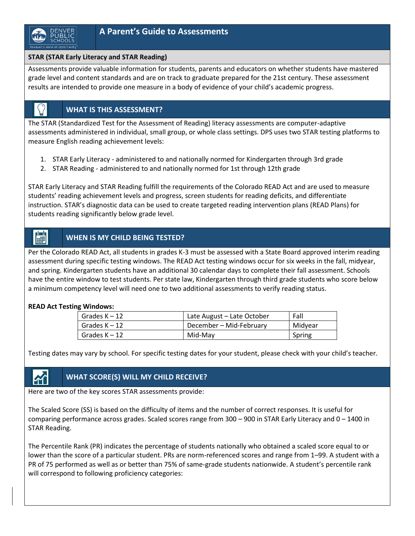

### **STAR (STAR Early Literacy and STAR Reading)**

Assessments provide valuable information for students, parents and educators on whether students have mastered grade level and content standards and are on track to graduate prepared for the 21st century. These assessment results are intended to provide one measure in a body of evidence of your child's academic progress.

### **WHAT IS THIS ASSESSMENT?**

The STAR (Standardized Test for the Assessment of Reading) literacy assessments are computer-adaptive assessments administered in individual, small group, or whole class settings. DPS uses two STAR testing platforms to measure English reading achievement levels:

- 1. STAR Early Literacy administered to and nationally normed for Kindergarten through 3rd grade
- 2. STAR Reading administered to and nationally normed for 1st through 12th grade

STAR Early Literacy and STAR Reading fulfill the requirements of the Colorado READ Act and are used to measure students' reading achievement levels and progress, screen students for reading deficits, and differentiate instruction. STAR's diagnostic data can be used to create targeted reading intervention plans (READ Plans) for students reading significantly below grade level.

### **WHEN IS MY CHILD BEING TESTED?**

Per the Colorado READ Act, all students in grades K-3 must be assessed with a State Board approved interim reading assessment during specific testing windows. The READ Act testing windows occur for six weeks in the fall, midyear, and spring. Kindergarten students have an additional 30 calendar days to complete their fall assessment. Schools have the entire window to test students. Per state law, Kindergarten through third grade students who score below a minimum competency level will need one to two additional assessments to verify reading status.

### **READ Act Testing Windows:**

 $\begin{bmatrix} 1 & 1 \\ 1 & 1 \end{bmatrix}$ 

| Grades $K-12$   | Late August – Late October | Fall    |
|-----------------|----------------------------|---------|
| Grades K - 12   | December - Mid-February    | Midyear |
| Grades $K - 12$ | Mid-Mav                    | Spring  |

Testing dates may vary by school. For specific testing dates for your student, please check with your child's teacher.

### **WHAT SCORE(S) WILL MY CHILD RECEIVE?**

Here are two of the key scores STAR assessments provide:

The Scaled Score (SS) is based on the difficulty of items and the number of correct responses. It is useful for comparing performance across grades. Scaled scores range from 300 – 900 in STAR Early Literacy and 0 – 1400 in STAR Reading.

The Percentile Rank (PR) indicates the percentage of students nationally who obtained a scaled score equal to or lower than the score of a particular student. PRs are norm-referenced scores and range from 1–99. A student with a PR of 75 performed as well as or better than 75% of same-grade students nationwide. A student's percentile rank will correspond to following proficiency categories: